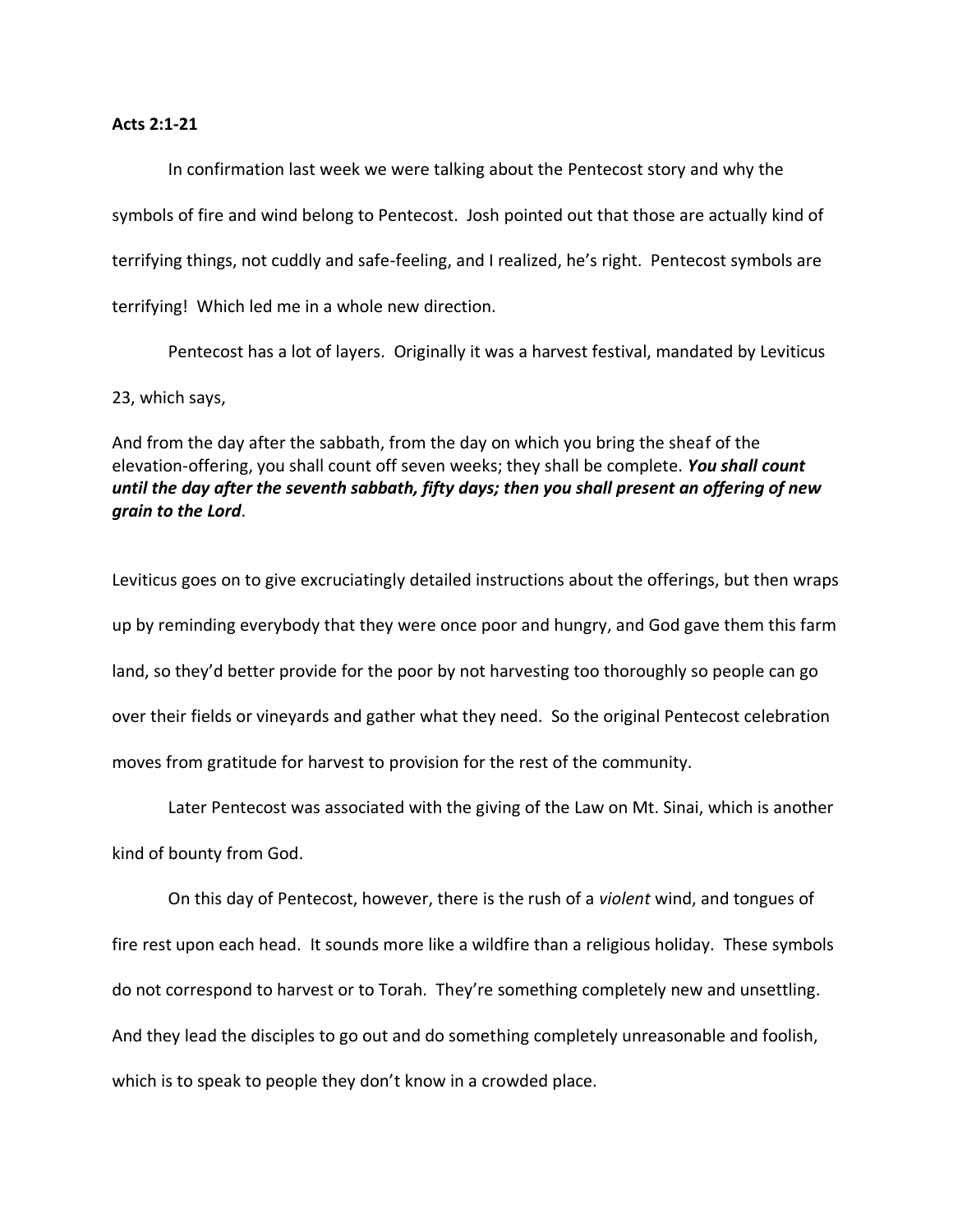## **Acts 2:1-21**

In confirmation last week we were talking about the Pentecost story and why the symbols of fire and wind belong to Pentecost. Josh pointed out that those are actually kind of terrifying things, not cuddly and safe-feeling, and I realized, he's right. Pentecost symbols are terrifying! Which led me in a whole new direction.

Pentecost has a lot of layers. Originally it was a harvest festival, mandated by Leviticus 23, which says,

And from the day after the sabbath, from the day on which you bring the sheaf of the elevation-offering, you shall count off seven weeks; they shall be complete. *You shall count until the day after the seventh sabbath, fifty days; then you shall present an offering of new grain to the Lord*.

Leviticus goes on to give excruciatingly detailed instructions about the offerings, but then wraps up by reminding everybody that they were once poor and hungry, and God gave them this farm land, so they'd better provide for the poor by not harvesting too thoroughly so people can go over their fields or vineyards and gather what they need. So the original Pentecost celebration moves from gratitude for harvest to provision for the rest of the community.

Later Pentecost was associated with the giving of the Law on Mt. Sinai, which is another

kind of bounty from God.

On this day of Pentecost, however, there is the rush of a *violent* wind, and tongues of fire rest upon each head. It sounds more like a wildfire than a religious holiday. These symbols do not correspond to harvest or to Torah. They're something completely new and unsettling. And they lead the disciples to go out and do something completely unreasonable and foolish, which is to speak to people they don't know in a crowded place.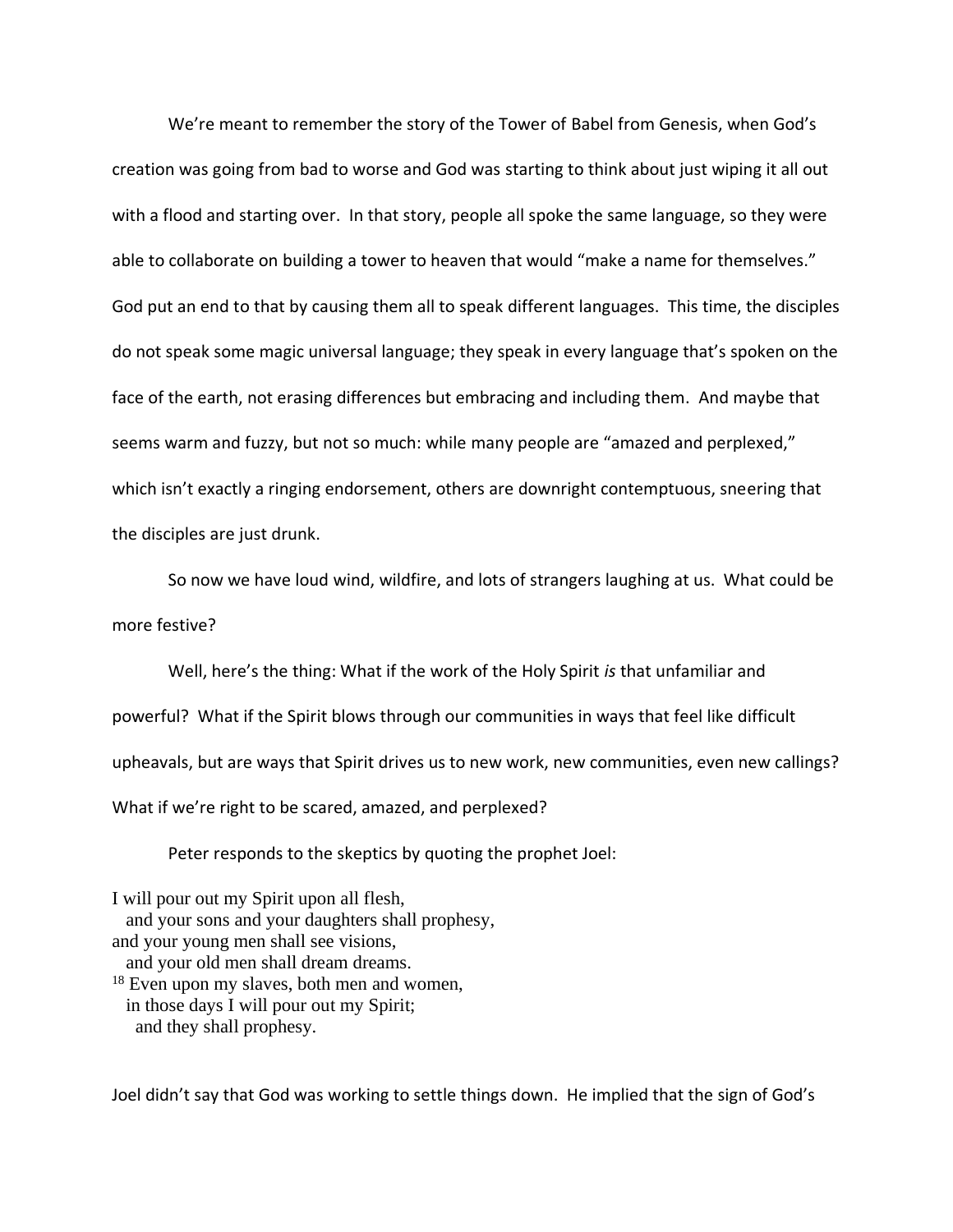We're meant to remember the story of the Tower of Babel from Genesis, when God's creation was going from bad to worse and God was starting to think about just wiping it all out with a flood and starting over. In that story, people all spoke the same language, so they were able to collaborate on building a tower to heaven that would "make a name for themselves." God put an end to that by causing them all to speak different languages. This time, the disciples do not speak some magic universal language; they speak in every language that's spoken on the face of the earth, not erasing differences but embracing and including them. And maybe that seems warm and fuzzy, but not so much: while many people are "amazed and perplexed," which isn't exactly a ringing endorsement, others are downright contemptuous, sneering that the disciples are just drunk.

So now we have loud wind, wildfire, and lots of strangers laughing at us. What could be more festive?

Well, here's the thing: What if the work of the Holy Spirit *is* that unfamiliar and powerful? What if the Spirit blows through our communities in ways that feel like difficult upheavals, but are ways that Spirit drives us to new work, new communities, even new callings? What if we're right to be scared, amazed, and perplexed?

Peter responds to the skeptics by quoting the prophet Joel:

I will pour out my Spirit upon all flesh, and your sons and your daughters shall prophesy, and your young men shall see visions, and your old men shall dream dreams. <sup>18</sup> Even upon my slaves, both men and women, in those days I will pour out my Spirit; and they shall prophesy.

Joel didn't say that God was working to settle things down. He implied that the sign of God's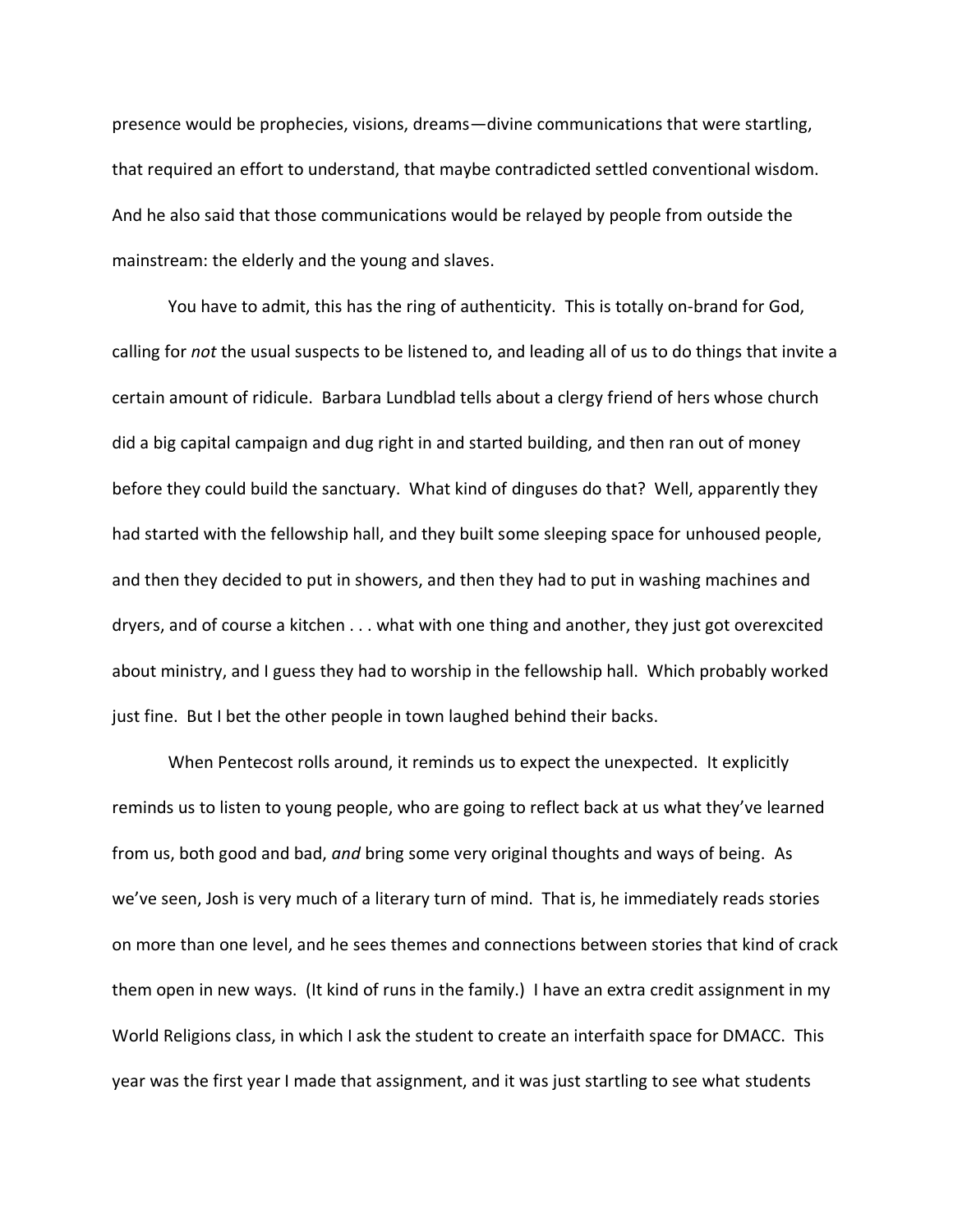presence would be prophecies, visions, dreams—divine communications that were startling, that required an effort to understand, that maybe contradicted settled conventional wisdom. And he also said that those communications would be relayed by people from outside the mainstream: the elderly and the young and slaves.

You have to admit, this has the ring of authenticity. This is totally on-brand for God, calling for *not* the usual suspects to be listened to, and leading all of us to do things that invite a certain amount of ridicule. Barbara Lundblad tells about a clergy friend of hers whose church did a big capital campaign and dug right in and started building, and then ran out of money before they could build the sanctuary. What kind of dinguses do that? Well, apparently they had started with the fellowship hall, and they built some sleeping space for unhoused people, and then they decided to put in showers, and then they had to put in washing machines and dryers, and of course a kitchen . . . what with one thing and another, they just got overexcited about ministry, and I guess they had to worship in the fellowship hall. Which probably worked just fine. But I bet the other people in town laughed behind their backs.

When Pentecost rolls around, it reminds us to expect the unexpected. It explicitly reminds us to listen to young people, who are going to reflect back at us what they've learned from us, both good and bad, *and* bring some very original thoughts and ways of being. As we've seen, Josh is very much of a literary turn of mind. That is, he immediately reads stories on more than one level, and he sees themes and connections between stories that kind of crack them open in new ways. (It kind of runs in the family.) I have an extra credit assignment in my World Religions class, in which I ask the student to create an interfaith space for DMACC. This year was the first year I made that assignment, and it was just startling to see what students